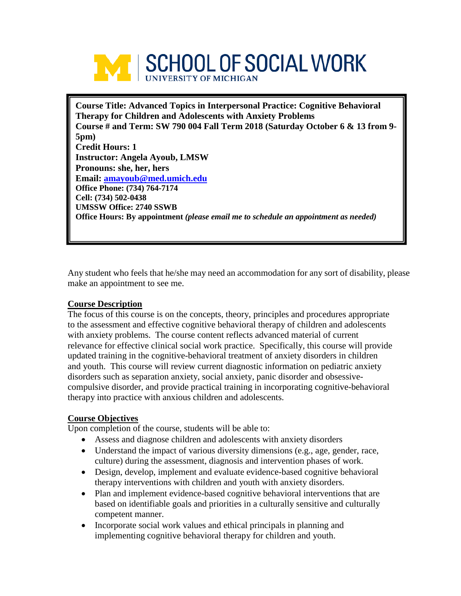

**Course Title: Advanced Topics in Interpersonal Practice: Cognitive Behavioral Therapy for Children and Adolescents with Anxiety Problems Course # and Term: SW 790 004 Fall Term 2018 (Saturday October 6 & 13 from 9- 5pm) Credit Hours: 1 Instructor: Angela Ayoub, LMSW Pronouns: she, her, hers Email: [amayoub@med.umich.edu](mailto:amayoub@med.umich.edu) Office Phone: (734) 764-7174 Cell: (734) 502-0438 UMSSW Office: 2740 SSWB Office Hours: By appointment** *(please email me to schedule an appointment as needed)*

Any student who feels that he/she may need an accommodation for any sort of disability, please make an appointment to see me.

### **Course Description**

The focus of this course is on the concepts, theory, principles and procedures appropriate to the assessment and effective cognitive behavioral therapy of children and adolescents with anxiety problems. The course content reflects advanced material of current relevance for effective clinical social work practice. Specifically, this course will provide updated training in the cognitive-behavioral treatment of anxiety disorders in children and youth. This course will review current diagnostic information on pediatric anxiety disorders such as separation anxiety, social anxiety, panic disorder and obsessivecompulsive disorder, and provide practical training in incorporating cognitive-behavioral therapy into practice with anxious children and adolescents.

### **Course Objectives**

Upon completion of the course, students will be able to:

- Assess and diagnose children and adolescents with anxiety disorders
- Understand the impact of various diversity dimensions (e.g., age, gender, race, culture) during the assessment, diagnosis and intervention phases of work.
- Design, develop, implement and evaluate evidence-based cognitive behavioral therapy interventions with children and youth with anxiety disorders.
- Plan and implement evidence-based cognitive behavioral interventions that are based on identifiable goals and priorities in a culturally sensitive and culturally competent manner.
- Incorporate social work values and ethical principals in planning and implementing cognitive behavioral therapy for children and youth.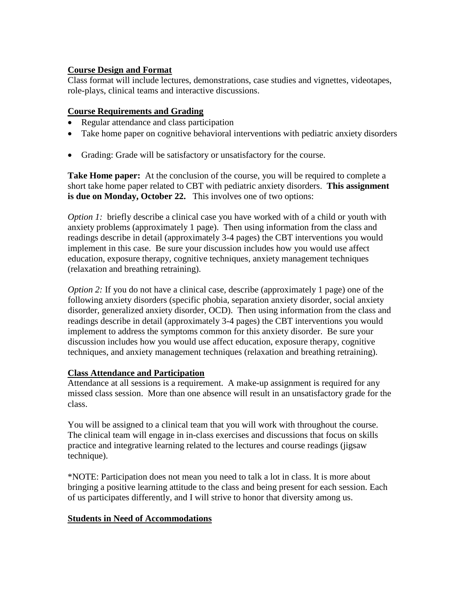# **Course Design and Format**

Class format will include lectures, demonstrations, case studies and vignettes, videotapes, role-plays, clinical teams and interactive discussions.

# **Course Requirements and Grading**

- Regular attendance and class participation
- Take home paper on cognitive behavioral interventions with pediatric anxiety disorders
- Grading: Grade will be satisfactory or unsatisfactory for the course.

**Take Home paper:** At the conclusion of the course, you will be required to complete a short take home paper related to CBT with pediatric anxiety disorders. **This assignment is due on Monday, October 22.** This involves one of two options:

*Option 1:* briefly describe a clinical case you have worked with of a child or youth with anxiety problems (approximately 1 page). Then using information from the class and readings describe in detail (approximately 3-4 pages) the CBT interventions you would implement in this case. Be sure your discussion includes how you would use affect education, exposure therapy, cognitive techniques, anxiety management techniques (relaxation and breathing retraining).

*Option 2:* If you do not have a clinical case, describe (approximately 1 page) one of the following anxiety disorders (specific phobia, separation anxiety disorder, social anxiety disorder, generalized anxiety disorder, OCD). Then using information from the class and readings describe in detail (approximately 3-4 pages) the CBT interventions you would implement to address the symptoms common for this anxiety disorder. Be sure your discussion includes how you would use affect education, exposure therapy, cognitive techniques, and anxiety management techniques (relaxation and breathing retraining).

### **Class Attendance and Participation**

Attendance at all sessions is a requirement. A make-up assignment is required for any missed class session. More than one absence will result in an unsatisfactory grade for the class.

You will be assigned to a clinical team that you will work with throughout the course. The clinical team will engage in in-class exercises and discussions that focus on skills practice and integrative learning related to the lectures and course readings (jigsaw technique).

\*NOTE: Participation does not mean you need to talk a lot in class. It is more about bringing a positive learning attitude to the class and being present for each session. Each of us participates differently, and I will strive to honor that diversity among us.

### **Students in Need of Accommodations**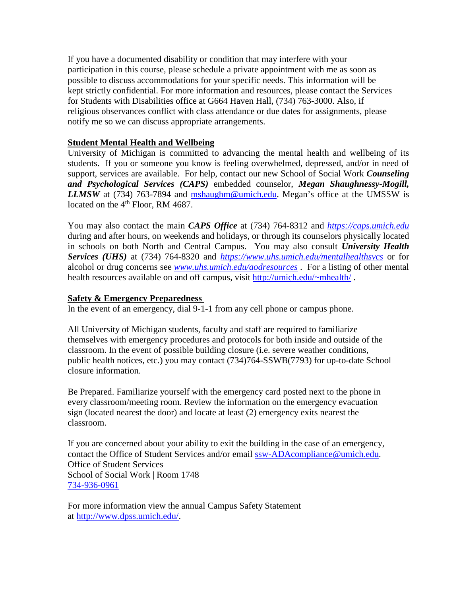If you have a documented disability or condition that may interfere with your participation in this course, please schedule a private appointment with me as soon as possible to discuss accommodations for your specific needs. This information will be kept strictly confidential. For more information and resources, please contact the Services for Students with Disabilities office at G664 Haven Hall, (734) 763-3000. Also, if religious observances conflict with class attendance or due dates for assignments, please notify me so we can discuss appropriate arrangements.

### **Student Mental Health and Wellbeing**

University of Michigan is committed to advancing the mental health and wellbeing of its students. If you or someone you know is feeling overwhelmed, depressed, and/or in need of support, services are available. For help, contact our new School of Social Work *Counseling and Psychological Services (CAPS)* embedded counselor, *Megan Shaughnessy-Mogill, LLMSW* at (734) 763-7894 and [mshaughm@umich.edu.](mailto:mshaughm@umich.edu) Megan's office at the UMSSW is located on the 4<sup>th</sup> Floor, RM 4687.

You may also contact the main *CAPS Office* at (734) 764-8312 and *[https://caps.umich.edu](https://caps.umich.edu/)* during and after hours, on weekends and holidays, or through its counselors physically located in schools on both North and Central Campus. You may also consult *University Health Services (UHS)* at (734) 764-8320 and *<https://www.uhs.umich.edu/mentalhealthsvcs>* or for alcohol or drug concerns see *[www.uhs.umich.edu/aodresources](http://www.uhs.umich.edu/aodresources)* . For a listing of other mental health resources available on and off campus, visit [http://umich.edu/~mhealth/](http://umich.edu/%7Emhealth/).

### **Safety & Emergency Preparedness**

In the event of an emergency, dial 9-1-1 from any cell phone or campus phone.

All University of Michigan students, faculty and staff are required to familiarize themselves with emergency procedures and protocols for both inside and outside of the classroom. In the event of possible building closure (i.e. severe weather conditions, public health notices, etc.) you may contact (734)764-SSWB(7793) for up-to-date School closure information.

Be Prepared. Familiarize yourself with the emergency card posted next to the phone in every classroom/meeting room. Review the information on the emergency evacuation sign (located nearest the door) and locate at least (2) emergency exits nearest the classroom.

If you are concerned about your ability to exit the building in the case of an emergency, contact the Office of Student Services and/or email [ssw-ADAcompliance@umich.edu.](mailto:ssw-ADAcompliance@umich.edu) Office of Student Services School of Social Work | Room 1748 [734-936-0961](tel:734-936-0961)

For more information view the annual Campus Safety Statement at [http://www.dpss.umich.edu/.](http://www.dpss.umich.edu/)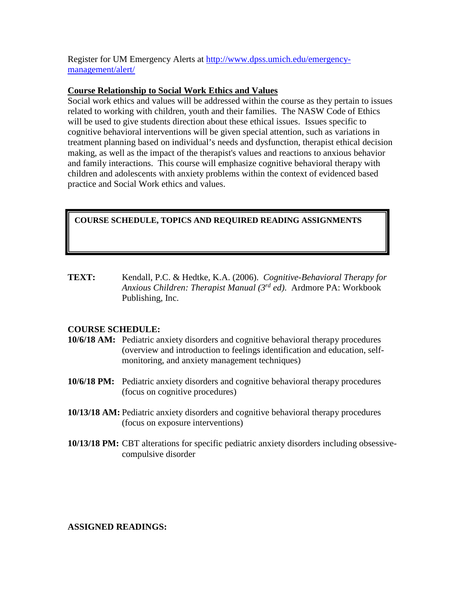Register for UM Emergency Alerts at [http://www.dpss.umich.edu/emergency](http://www.dpss.umich.edu/emergency-management/alert/)[management/alert/](http://www.dpss.umich.edu/emergency-management/alert/)

#### **Course Relationship to Social Work Ethics and Values**

Social work ethics and values will be addressed within the course as they pertain to issues related to working with children, youth and their families. The NASW Code of Ethics will be used to give students direction about these ethical issues. Issues specific to cognitive behavioral interventions will be given special attention, such as variations in treatment planning based on individual's needs and dysfunction, therapist ethical decision making, as well as the impact of the therapist's values and reactions to anxious behavior and family interactions. This course will emphasize cognitive behavioral therapy with children and adolescents with anxiety problems within the context of evidenced based practice and Social Work ethics and values.

# **COURSE SCHEDULE, TOPICS AND REQUIRED READING ASSIGNMENTS**

**TEXT:** Kendall, P.C. & Hedtke, K.A. (2006). *Cognitive-Behavioral Therapy for Anxious Children: Therapist Manual (3rd ed)*. Ardmore PA: Workbook Publishing, Inc.

### **COURSE SCHEDULE:**

- **10/6/18 AM:** Pediatric anxiety disorders and cognitive behavioral therapy procedures (overview and introduction to feelings identification and education, selfmonitoring, and anxiety management techniques)
- **10/6/18 PM:** Pediatric anxiety disorders and cognitive behavioral therapy procedures (focus on cognitive procedures)
- **10/13/18 AM:** Pediatric anxiety disorders and cognitive behavioral therapy procedures (focus on exposure interventions)
- **10/13/18 PM:** CBT alterations for specific pediatric anxiety disorders including obsessivecompulsive disorder

#### **ASSIGNED READINGS:**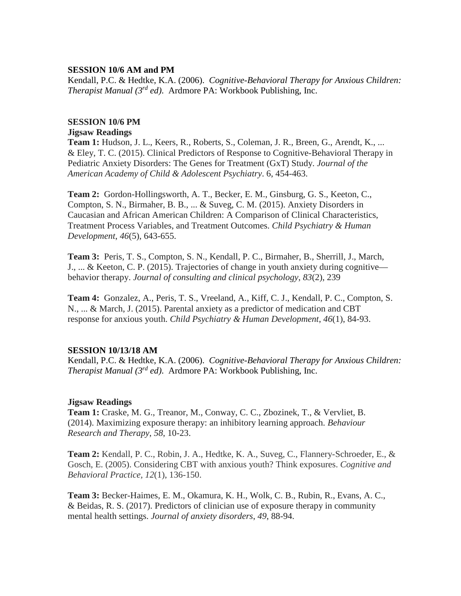#### **SESSION 10/6 AM and PM**

Kendall, P.C. & Hedtke, K.A. (2006). *Cognitive-Behavioral Therapy for Anxious Children: Therapist Manual (3rd ed)*. Ardmore PA: Workbook Publishing, Inc.

#### **SESSION 10/6 PM**

#### **Jigsaw Readings**

**Team 1:** Hudson, J. L., Keers, R., Roberts, S., Coleman, J. R., Breen, G., Arendt, K., ... & Eley, T. C. (2015). Clinical Predictors of Response to Cognitive-Behavioral Therapy in Pediatric Anxiety Disorders: The Genes for Treatment (GxT) Study. *Journal of the American Academy of Child & Adolescent Psychiatry*. 6, 454-463.

**Team 2:** Gordon-Hollingsworth, A. T., Becker, E. M., Ginsburg, G. S., Keeton, C., Compton, S. N., Birmaher, B. B., ... & Suveg, C. M. (2015). Anxiety Disorders in Caucasian and African American Children: A Comparison of Clinical Characteristics, Treatment Process Variables, and Treatment Outcomes. *Child Psychiatry & Human Development*, *46*(5), 643-655.

**Team 3:** Peris, T. S., Compton, S. N., Kendall, P. C., Birmaher, B., Sherrill, J., March, J., ... & Keeton, C. P. (2015). Trajectories of change in youth anxiety during cognitive behavior therapy. *Journal of consulting and clinical psychology*, *83*(2), 239

**Team 4:** Gonzalez, A., Peris, T. S., Vreeland, A., Kiff, C. J., Kendall, P. C., Compton, S. N., ... & March, J. (2015). Parental anxiety as a predictor of medication and CBT response for anxious youth. *Child Psychiatry & Human Development*, *46*(1), 84-93.

#### **SESSION 10/13/18 AM**

Kendall, P.C. & Hedtke, K.A. (2006). *Cognitive-Behavioral Therapy for Anxious Children: Therapist Manual (3rd ed)*. Ardmore PA: Workbook Publishing, Inc.

#### **Jigsaw Readings**

**Team 1:** Craske, M. G., Treanor, M., Conway, C. C., Zbozinek, T., & Vervliet, B. (2014). Maximizing exposure therapy: an inhibitory learning approach. *Behaviour Research and Therapy*, *58*, 10-23.

**Team 2:** Kendall, P. C., Robin, J. A., Hedtke, K. A., Suveg, C., Flannery-Schroeder, E., & Gosch, E. (2005). Considering CBT with anxious youth? Think exposures. *Cognitive and Behavioral Practice, 12*(1), 136-150.

**Team 3:** Becker-Haimes, E. M., Okamura, K. H., Wolk, C. B., Rubin, R., Evans, A. C., & Beidas, R. S. (2017). Predictors of clinician use of exposure therapy in community mental health settings. *Journal of anxiety disorders*, *49*, 88-94.